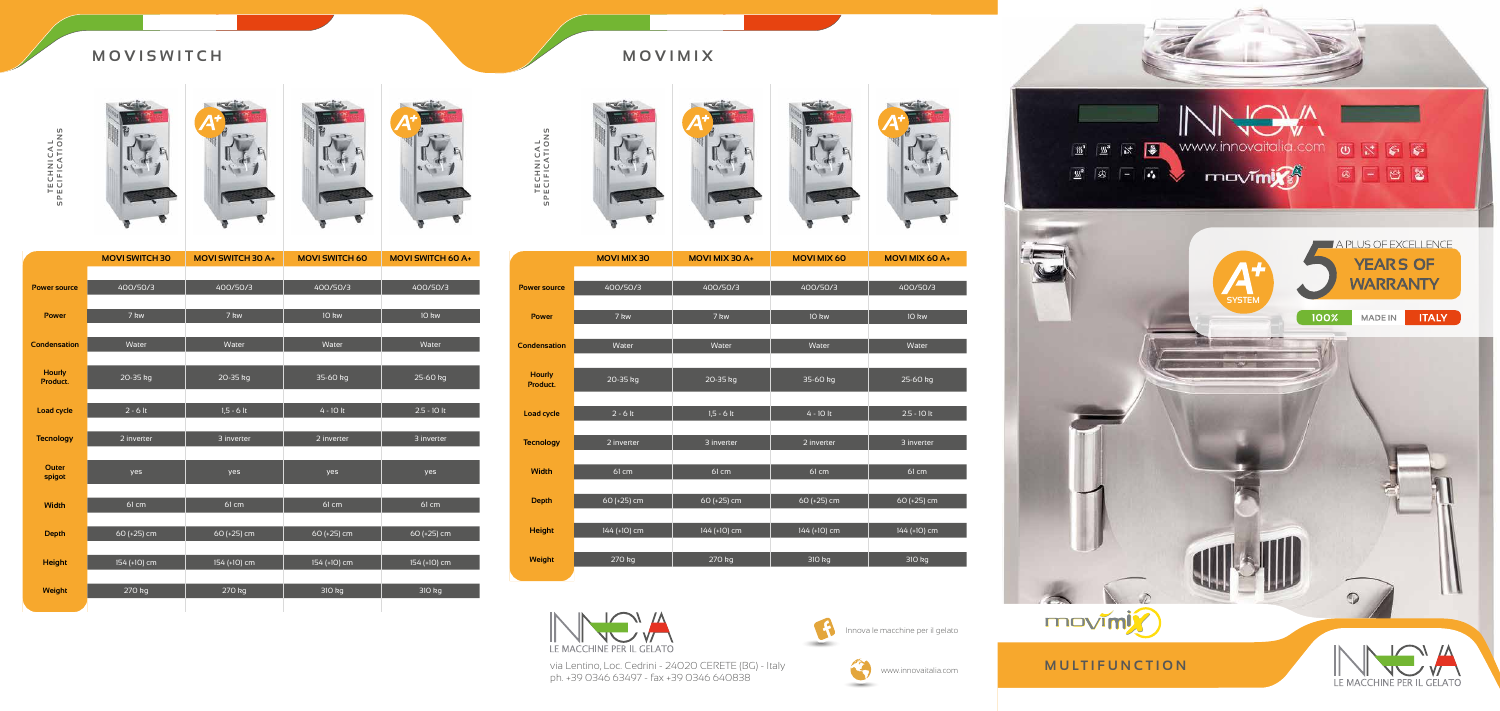TECHNICAL<br>SPECIFICATIONS **SPECIFICATIONS TECHNICAL**









### **MOVISWITCH MOVIMIX**

|                           | <b>MOVI SWITCH 30</b> | <b>MOVI SWITCH 30 A+</b> | <b>MOVI SWITCH 60</b> | <b>MOVI SWITCH 60 A+</b> |
|---------------------------|-----------------------|--------------------------|-----------------------|--------------------------|
|                           |                       |                          |                       |                          |
| <b>Power source</b>       | 400/50/3              | 400/50/3                 | 400/50/3              | 400/50/3                 |
|                           |                       |                          |                       |                          |
| <b>Power</b>              | 7 kw                  | 7 kw                     | 10 kw                 | 10 kw                    |
|                           |                       |                          |                       |                          |
| <b>Condensation</b>       | Water                 | Water                    | Water                 | Water                    |
|                           |                       |                          |                       |                          |
| <b>Hourly</b><br>Product. | 20-35 kg              | 20-35 kg                 | 35-60 kg              | $25-60$ kg               |
|                           |                       |                          |                       |                          |
| <b>Load cycle</b>         | $2 - 6$ lt            | $1,5 - 6$ lt             | $4 - 10$ It           | $2.5 - 10$ lt            |
|                           |                       |                          |                       |                          |
| <b>Tecnology</b>          | 2 inverter            | 3 inverter               | 2 inverter            | 3 inverter               |
|                           |                       |                          |                       |                          |
| <b>Outer</b>              | yes                   | yes                      | yes                   | yes                      |
| spigot                    |                       |                          |                       |                          |
| <b>Width</b>              | 61 cm                 | 61 cm                    | 61 cm                 | 61 cm                    |
|                           |                       |                          |                       |                          |
| <b>Depth</b>              | 60 (+25) cm           | 60 (+25) cm              | 60 (+25) cm           | 60 (+25) cm              |
|                           |                       |                          |                       |                          |
| <b>Height</b>             | 154 (+10) cm          | 154 (+10) cm             | 154 (+10) cm          | 154 (+10) cm             |
|                           |                       |                          |                       |                          |
| Weight                    | 270 kg                | 270 kg                   | 310 kg                | 310 kg                   |



Innova le macchine per il gelato Innova le macchine per il gelato



www.innovaitalia.com

via Lentino, Loc. Cedrini - 24020 CERETE (BG) - Italy www.innovaitalia.com via Lentino, Loc. Cedrini - 24020 CERETE (BG) - Italy ph. +39 0346 63497 - fax +39 0346 640838 ph. +39 0346 63497 - fax +39 0346 640838

### **MULTIFUNCTION**





### **MOVIMIX**









|                           | <b>MOVIMIX30</b> | <b>MOVI MIX 30 A+</b> | <b>MOVIMIX 60</b> | <b>MOVI MIX 60</b> |
|---------------------------|------------------|-----------------------|-------------------|--------------------|
|                           |                  |                       |                   |                    |
| <b>Power source</b>       | 400/50/3         | 400/50/3              | 400/50/3          | 400/50/3           |
|                           |                  |                       |                   |                    |
| <b>Power</b>              | 7 kw             | 7 kw                  | 10 kw             | 10 kw              |
|                           |                  |                       |                   |                    |
| <b>Condensation</b>       | Water            | Water                 | Water             | Water              |
|                           |                  |                       |                   |                    |
| <b>Hourly</b><br>Product. | 20-35 kg         | 20-35 kg              | 35-60 kg          | 25-60 kg           |
|                           |                  |                       |                   |                    |
| <b>Load cycle</b>         | $2 - 6$ lt       | $1,5 - 6$ lt          | $4 - 10$ lt       | $2.5 - 10$ lt      |
|                           |                  |                       |                   |                    |
| <b>Tecnology</b>          | 2 inverter       | 3 inverter            | 2 inverter        | 3 inverter         |
|                           |                  |                       |                   |                    |
| <b>Width</b>              | 61 cm            | 61 cm                 | 61 cm             | 61 cm              |
|                           |                  |                       |                   |                    |
| <b>Depth</b>              | 60 (+25) cm      | 60 (+25) cm           | 60 (+25) cm       | 60 (+25) cm        |
|                           |                  |                       |                   |                    |
| <b>Height</b>             | 144 (+10) cm     | 144 (+10) cm          | 144 (+10) cm      | 144 (+10) cm       |
|                           |                  |                       |                   |                    |
| Weight                    | 270 kg           | 270 kg                | 310 kg            | 310 kg             |



| <b>MOVIMIX30</b> | <b>MOVI MIX 30 A+</b> | <b>MOVI MIX 60</b> | <b>MOVIMIX 60 A+</b> |
|------------------|-----------------------|--------------------|----------------------|
|                  |                       |                    |                      |
| 400/50/3         | 400/50/3              | 400/50/3           | 400/50/3             |
|                  |                       |                    |                      |
| 7 kw             | 7 kw                  | 10 kw              | 10 kw                |
|                  |                       |                    |                      |
| Water            | Water                 | Water              | Water                |
|                  |                       |                    |                      |
| 20-35 kg         | 20-35 kg              | 35-60 kg           | 25-60 kg             |
|                  |                       |                    |                      |
| $2 - 6$ lt       | $1,5 - 6$ lt          | $4 - 10$ lt        | $2.5 - 10$ lt        |
| 2 inverter       | 3 inverter            | 2 inverter         | 3 inverter           |
|                  |                       |                    |                      |
| 61 cm            | 61 cm                 | 61 cm              | 61 cm                |
|                  |                       |                    |                      |
| 60 (+25) cm      | $60 (+25)$ cm         | 60 (+25) cm        | 60 (+25) cm          |
|                  |                       |                    |                      |
| 144 (+10) cm     | 144 (+10) cm          | 144 (+10) cm       | 144 (+10) cm         |
|                  |                       |                    |                      |
| 270 kg           | 270 kg                | 310 kg             | 310 kg               |